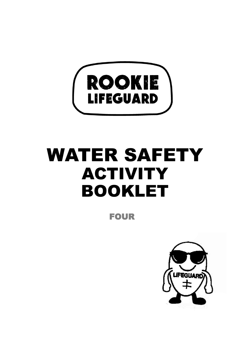

# WATER SAFETY ACTIVITY BOOKLET

FOUR

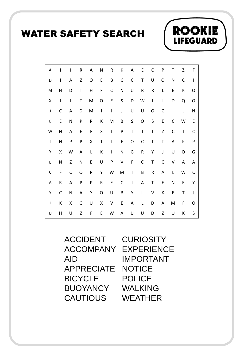### WATER SAFETY SEARCH



**ROOKIE** 

**LIFEGUARD** 

ACCIDENT CURIOSITY ACCOMPANY AID APPRECIATE **BICYCLE BUOYANCY CAUTIOUS** 

EXPERIENCE IMPORTANT **NOTICE** POLICE WALKING WEATHER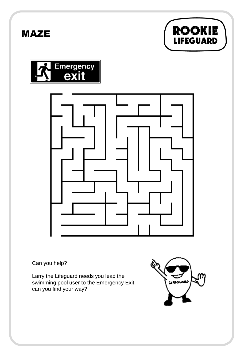







Can you help?

Larry the Lifeguard needs you lead the swimming pool user to the Emergency Exit, can you find your way?

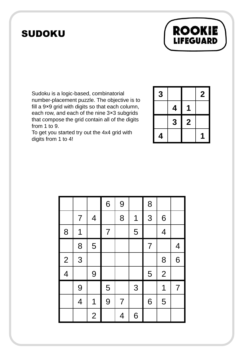## SUDOKU



To get you started try out the 4x4 grid with digits from 1 to 4!

| 3 |   |                  | $\mathbf 2$ |
|---|---|------------------|-------------|
|   | 4 |                  |             |
|   | 3 | $\boldsymbol{2}$ |             |
| 4 |   |                  |             |

**ROOKIE** 

LIFEGUARD

|                          |                          |                         | 6              | 9              |   | 8              |                |                |
|--------------------------|--------------------------|-------------------------|----------------|----------------|---|----------------|----------------|----------------|
|                          | 7                        | $\overline{\mathbf{4}}$ |                | 8              | 1 | 3              | 6              |                |
| 8                        | 1                        |                         | $\overline{7}$ |                | 5 |                | $\overline{4}$ |                |
|                          | 8                        | 5                       |                |                |   | $\overline{7}$ |                | $\overline{4}$ |
| $\overline{2}$           | 3                        |                         |                |                |   |                | 8              | 6              |
| $\overline{\mathcal{A}}$ |                          | 9                       |                |                |   | 5              | $\overline{2}$ |                |
|                          | 9                        |                         | 5              |                | 3 |                | 1              | $\overline{7}$ |
|                          | $\overline{\mathcal{A}}$ | 1                       | 9              | $\overline{7}$ |   | 6              | 5              |                |
|                          |                          | $\overline{2}$          |                | 4              | 6 |                |                |                |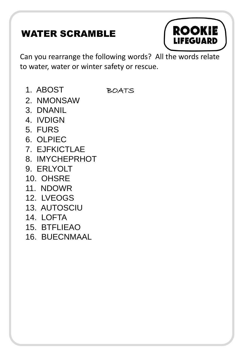## WATER SCRAMBLE



Can you rearrange the following words? All the words relate to water, water or winter safety or rescue.

1. ABOST BOATS

- 2. NMONSAW
- 3. DNANIL
- 4. IVDIGN
- 5. FURS
- 6. OLPIEC
- 7. EJFKICTLAE
- 8. IMYCHEPRHOT
- 9. ERLYOLT
- 10. OHSRE
- 11. NDOWR
- 12. LVEOGS
- 13. AUTOSCIU
- 14. LOFTA
- 15. BTFLIEAO
- 16. BUECNMAAL